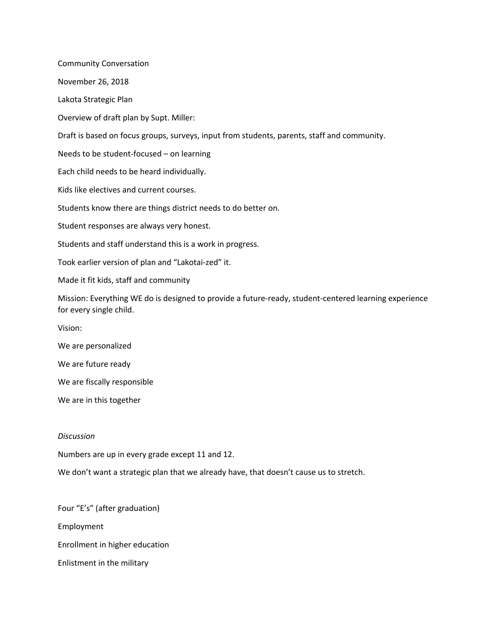Community Conversation November 26, 2018 Lakota Strategic Plan Overview of draft plan by Supt. Miller: Draft is based on focus groups, surveys, input from students, parents, staff and community. Needs to be student-focused – on learning Each child needs to be heard individually. Kids like electives and current courses. Students know there are things district needs to do better on. Student responses are always very honest. Students and staff understand this is a work in progress. Took earlier version of plan and "Lakotai-zed" it. Made it fit kids, staff and community Mission: Everything WE do is designed to provide a future-ready, student-centered learning experience for every single child. Vision: We are personalized We are future ready We are fiscally responsible

We are in this together

## *Discussion*

Numbers are up in every grade except 11 and 12.

We don't want a strategic plan that we already have, that doesn't cause us to stretch.

Four "E's" (after graduation) Employment Enrollment in higher education Enlistment in the military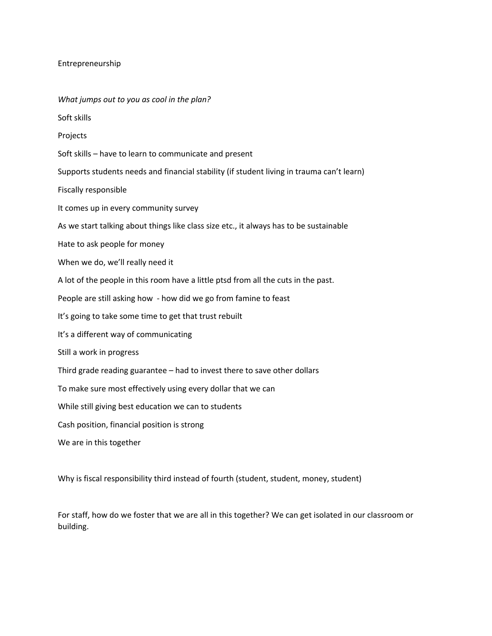## Entrepreneurship

*What jumps out to you as cool in the plan?* Soft skills Projects Soft skills – have to learn to communicate and present Supports students needs and financial stability (if student living in trauma can't learn) Fiscally responsible It comes up in every community survey As we start talking about things like class size etc., it always has to be sustainable Hate to ask people for money When we do, we'll really need it A lot of the people in this room have a little ptsd from all the cuts in the past. People are still asking how - how did we go from famine to feast It's going to take some time to get that trust rebuilt It's a different way of communicating Still a work in progress Third grade reading guarantee – had to invest there to save other dollars To make sure most effectively using every dollar that we can While still giving best education we can to students Cash position, financial position is strong We are in this together

Why is fiscal responsibility third instead of fourth (student, student, money, student)

For staff, how do we foster that we are all in this together? We can get isolated in our classroom or building.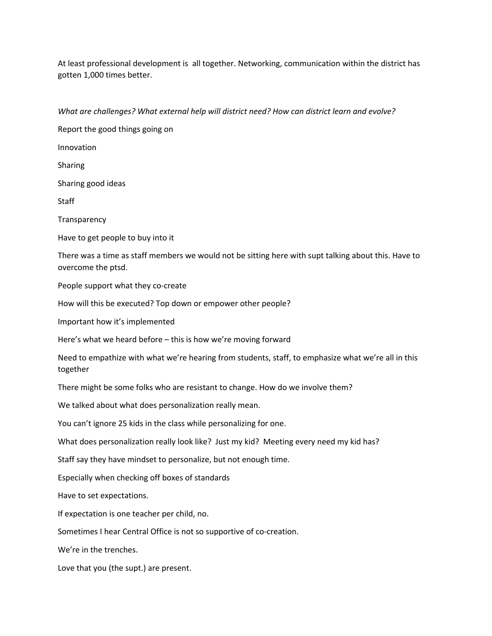At least professional development is all together. Networking, communication within the district has gotten 1,000 times better.

*What are challenges? What external help will district need? How can district learn and evolve?*

Report the good things going on Innovation Sharing Sharing good ideas **Staff Transparency** Have to get people to buy into it There was a time as staff members we would not be sitting here with supt talking about this. Have to overcome the ptsd. People support what they co-create How will this be executed? Top down or empower other people? Important how it's implemented Here's what we heard before – this is how we're moving forward Need to empathize with what we're hearing from students, staff, to emphasize what we're all in this together There might be some folks who are resistant to change. How do we involve them? We talked about what does personalization really mean. You can't ignore 25 kids in the class while personalizing for one. What does personalization really look like? Just my kid? Meeting every need my kid has? Staff say they have mindset to personalize, but not enough time. Especially when checking off boxes of standards Have to set expectations. If expectation is one teacher per child, no. Sometimes I hear Central Office is not so supportive of co-creation. We're in the trenches.

Love that you (the supt.) are present.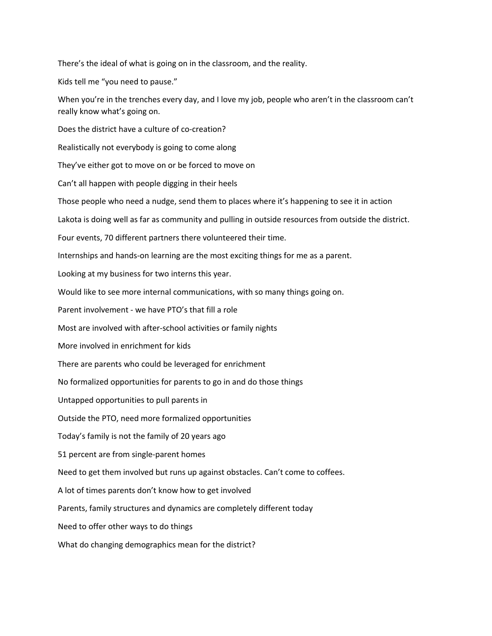There's the ideal of what is going on in the classroom, and the reality.

Kids tell me "you need to pause."

When you're in the trenches every day, and I love my job, people who aren't in the classroom can't really know what's going on.

Does the district have a culture of co-creation?

Realistically not everybody is going to come along

They've either got to move on or be forced to move on

Can't all happen with people digging in their heels

Those people who need a nudge, send them to places where it's happening to see it in action

Lakota is doing well as far as community and pulling in outside resources from outside the district.

Four events, 70 different partners there volunteered their time.

Internships and hands-on learning are the most exciting things for me as a parent.

Looking at my business for two interns this year.

Would like to see more internal communications, with so many things going on.

Parent involvement - we have PTO's that fill a role

Most are involved with after-school activities or family nights

More involved in enrichment for kids

There are parents who could be leveraged for enrichment

No formalized opportunities for parents to go in and do those things

Untapped opportunities to pull parents in

Outside the PTO, need more formalized opportunities

Today's family is not the family of 20 years ago

51 percent are from single-parent homes

Need to get them involved but runs up against obstacles. Can't come to coffees.

A lot of times parents don't know how to get involved

Parents, family structures and dynamics are completely different today

Need to offer other ways to do things

What do changing demographics mean for the district?